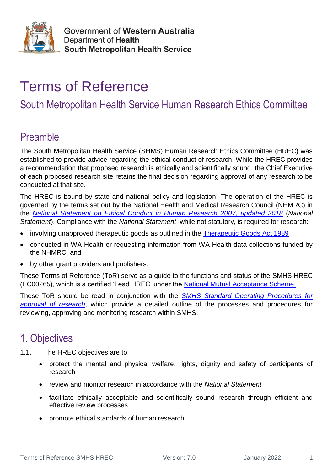

# Terms of Reference

# South Metropolitan Health Service Human Research Ethics Committee

# Preamble

The South Metropolitan Health Service (SHMS) Human Research Ethics Committee (HREC) was established to provide advice regarding the ethical conduct of research. While the HREC provides a recommendation that proposed research is ethically and scientifically sound, the Chief Executive of each proposed research site retains the final decision regarding approval of any research to be conducted at that site.

The HREC is bound by state and national policy and legislation. The operation of the HREC is governed by the terms set out by the National Health and Medical Research Council (NHMRC) in the *[National Statement on Ethical Conduct in Human Research 2007, updated 2018](https://www.nhmrc.gov.au/about-us/publications/national-statement-ethical-conduct-human-research-2007-updated-2018)* (*National Statement*). Compliance with the *National Statement*, while not statutory, is required for research:

- involving unapproved therapeutic goods as outlined in the [Therapeutic Goods Act 1989](https://www.tga.gov.au/legislation-legislative-instruments)
- conducted in WA Health or requesting information from WA Health data collections funded by the NHMRC, and
- by other grant providers and publishers.

These Terms of Reference (ToR) serve as a guide to the functions and status of the SMHS HREC (EC00265), which is a certified 'Lead HREC' under the [National Mutual Acceptance Scheme.](https://www.clinicaltrialsandresearch.vic.gov.au/national-mutual-acceptance)

These ToR should be read in conjunction with the *[SMHS Standard Operating Procedures](https://smhs.health.wa.gov.au/Our-research/For-researchers) for [approval of research](https://smhs.health.wa.gov.au/Our-research/For-researchers)*, which provide a detailed outline of the processes and procedures for reviewing, approving and monitoring research within SMHS.

# 1. Objectives

- 1.1. The HREC objectives are to:
	- protect the mental and physical welfare, rights, dignity and safety of participants of research
	- review and monitor research in accordance with the *National Statement*
	- facilitate ethically acceptable and scientifically sound research through efficient and effective review processes
	- promote ethical standards of human research.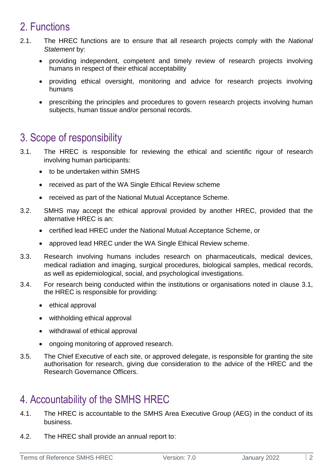# 2. Functions

- 2.1. The HREC functions are to ensure that all research projects comply with the *National Statement* by:
	- providing independent, competent and timely review of research projects involving humans in respect of their ethical acceptability
	- providing ethical oversight, monitoring and advice for research projects involving humans
	- prescribing the principles and procedures to govern research projects involving human subjects, human tissue and/or personal records.

# 3. Scope of responsibility

- 3.1. The HREC is responsible for reviewing the ethical and scientific rigour of research involving human participants:
	- to be undertaken within SMHS
	- received as part of the WA Single Ethical Review scheme
	- received as part of the National Mutual Acceptance Scheme.
- 3.2. SMHS may accept the ethical approval provided by another HREC, provided that the alternative HREC is an:
	- certified lead HREC under the National Mutual Acceptance Scheme, or
	- approved lead HREC under the WA Single Ethical Review scheme.
- 3.3. Research involving humans includes research on pharmaceuticals, medical devices, medical radiation and imaging, surgical procedures, biological samples, medical records, as well as epidemiological, social, and psychological investigations.
- 3.4. For research being conducted within the institutions or organisations noted in clause 3.1, the HREC is responsible for providing:
	- ethical approval
	- withholding ethical approval
	- withdrawal of ethical approval
	- ongoing monitoring of approved research.
- 3.5. The Chief Executive of each site, or approved delegate, is responsible for granting the site authorisation for research, giving due consideration to the advice of the HREC and the Research Governance Officers.

# 4. Accountability of the SMHS HREC

- 4.1. The HREC is accountable to the SMHS Area Executive Group (AEG) in the conduct of its business.
- 4.2. The HREC shall provide an annual report to: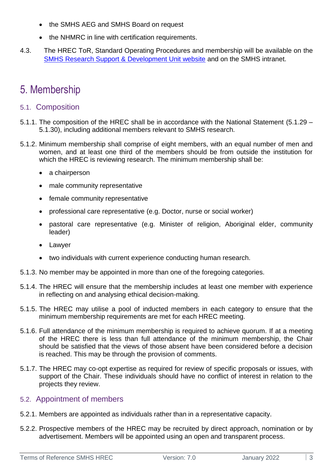- the SMHS AEG and SMHS Board on request
- the NHMRC in line with certification requirements.
- 4.3. The HREC ToR, Standard Operating Procedures and membership will be available on the [SMHS Research Support &](https://ww2.health.wa.gov.au/About-us/South-Metropolitan-Health-Service/Involving-our-community/Human-Research-Ethics-and-Governance) Development Unit website and on the SMHS intranet.

# 5. Membership

#### 5.1. Composition

- 5.1.1. The composition of the HREC shall be in accordance with the National Statement (5.1.29 5.1.30), including additional members relevant to SMHS research.
- 5.1.2. Minimum membership shall comprise of eight members, with an equal number of men and women, and at least one third of the members should be from outside the institution for which the HREC is reviewing research. The minimum membership shall be:
	- a chairperson
	- male community representative
	- female community representative
	- professional care representative (e.g. Doctor, nurse or social worker)
	- pastoral care representative (e.g. Minister of religion, Aboriginal elder, community leader)
	- Lawyer
	- two individuals with current experience conducting human research.
- 5.1.3. No member may be appointed in more than one of the foregoing categories.
- 5.1.4. The HREC will ensure that the membership includes at least one member with experience in reflecting on and analysing ethical decision-making.
- 5.1.5. The HREC may utilise a pool of inducted members in each category to ensure that the minimum membership requirements are met for each HREC meeting.
- 5.1.6. Full attendance of the minimum membership is required to achieve quorum. If at a meeting of the HREC there is less than full attendance of the minimum membership, the Chair should be satisfied that the views of those absent have been considered before a decision is reached. This may be through the provision of comments.
- 5.1.7. The HREC may co-opt expertise as required for review of specific proposals or issues, with support of the Chair. These individuals should have no conflict of interest in relation to the projects they review.

#### 5.2. Appointment of members

- 5.2.1. Members are appointed as individuals rather than in a representative capacity.
- 5.2.2. Prospective members of the HREC may be recruited by direct approach, nomination or by advertisement. Members will be appointed using an open and transparent process.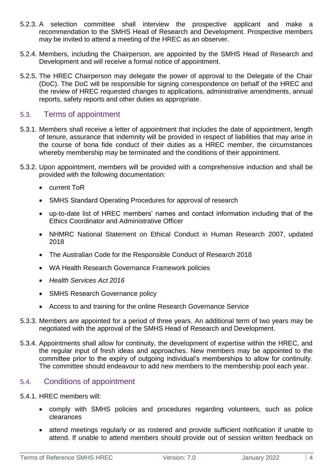- 5.2.3. A selection committee shall interview the prospective applicant and make a recommendation to the SMHS Head of Research and Development. Prospective members may be invited to attend a meeting of the HREC as an observer.
- 5.2.4. Members, including the Chairperson, are appointed by the SMHS Head of Research and Development and will receive a formal notice of appointment.
- 5.2.5. The HREC Chairperson may delegate the power of approval to the Delegate of the Chair (DoC). The DoC will be responsible for signing correspondence on behalf of the HREC and the review of HREC requested changes to applications, administrative amendments, annual reports, safety reports and other duties as appropriate.

#### 5.3. Terms of appointment

- 5.3.1. Members shall receive a letter of appointment that includes the date of appointment, length of tenure, assurance that indemnity will be provided in respect of liabilities that may arise in the course of bona fide conduct of their duties as a HREC member, the circumstances whereby membership may be terminated and the conditions of their appointment.
- 5.3.2. Upon appointment, members will be provided with a comprehensive induction and shall be provided with the following documentation:
	- current ToR
	- SMHS Standard Operating Procedures for approval of research
	- up-to-date list of HREC members' names and contact information including that of the Ethics Coordinator and Administrative Officer
	- NHMRC National Statement on Ethical Conduct in Human Research 2007, updated 2018
	- The Australian Code for the Responsible Conduct of Research 2018
	- WA Health Research Governance Framework policies
	- *Health Services Act 2016*
	- SMHS Research Governance policy
	- Access to and training for the online Research Governance Service
- 5.3.3. Members are appointed for a period of three years. An additional term of two years may be negotiated with the approval of the SMHS Head of Research and Development.
- 5.3.4. Appointments shall allow for continuity, the development of expertise within the HREC, and the regular input of fresh ideas and approaches. New members may be appointed to the committee prior to the expiry of outgoing individual's memberships to allow for continuity. The committee should endeavour to add new members to the membership pool each year.

#### 5.4. Conditions of appointment

- 5.4.1. HREC members will:
	- comply with SMHS policies and procedures regarding volunteers, such as police clearances
	- attend meetings regularly or as rostered and provide sufficient notification if unable to attend. If unable to attend members should provide out of session written feedback on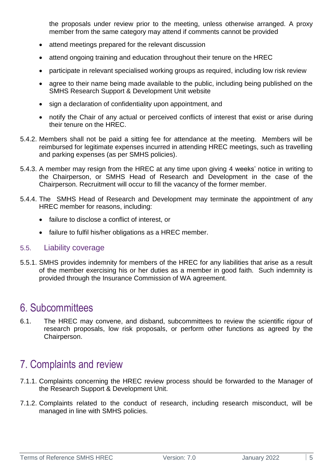the proposals under review prior to the meeting, unless otherwise arranged. A proxy member from the same category may attend if comments cannot be provided

- attend meetings prepared for the relevant discussion
- attend ongoing training and education throughout their tenure on the HREC
- participate in relevant specialised working groups as required, including low risk review
- agree to their name being made available to the public, including being published on the [SMHS Research Support & Development Unit website](http://southmetropolitan.health.wa.gov.au/services/about.aspx?SiteID=13&ServiceID=529)
- sign a declaration of confidentiality upon appointment, and
- notify the Chair of any actual or perceived conflicts of interest that exist or arise during their tenure on the HREC.
- 5.4.2. Members shall not be paid a sitting fee for attendance at the meeting. Members will be reimbursed for legitimate expenses incurred in attending HREC meetings, such as travelling and parking expenses (as per SMHS policies).
- 5.4.3. A member may resign from the HREC at any time upon giving 4 weeks' notice in writing to the Chairperson, or SMHS Head of Research and Development in the case of the Chairperson. Recruitment will occur to fill the vacancy of the former member.
- 5.4.4. The SMHS Head of Research and Development may terminate the appointment of any HREC member for reasons, including:
	- failure to disclose a conflict of interest, or
	- failure to fulfil his/her obligations as a HREC member.

#### 5.5. Liability coverage

5.5.1. SMHS provides indemnity for members of the HREC for any liabilities that arise as a result of the member exercising his or her duties as a member in good faith. Such indemnity is provided through the Insurance Commission of WA agreement.

### 6. Subcommittees

6.1. The HREC may convene, and disband, subcommittees to review the scientific rigour of research proposals, low risk proposals, or perform other functions as agreed by the Chairperson.

### 7. Complaints and review

- 7.1.1. Complaints concerning the HREC review process should be forwarded to the Manager of the Research Support & Development Unit.
- 7.1.2. Complaints related to the conduct of research, including research misconduct, will be managed in line with SMHS policies.